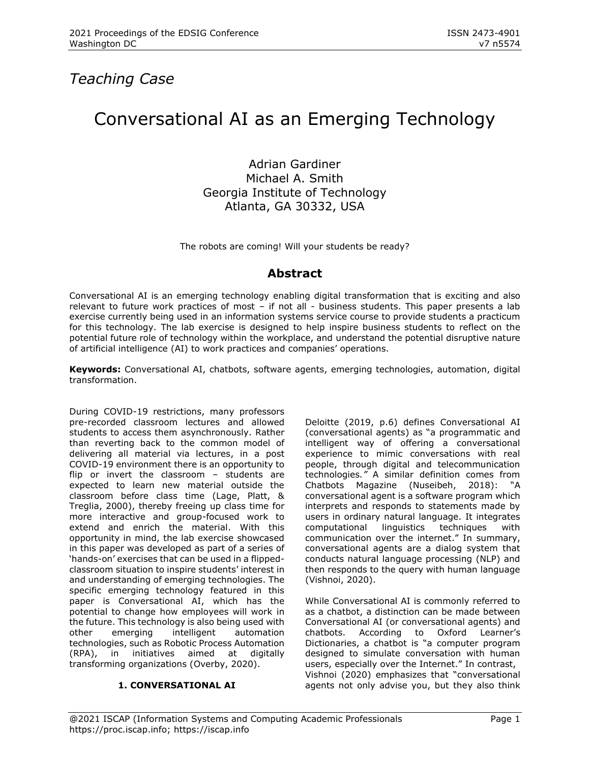# *Teaching Case*

# Conversational AI as an Emerging Technology

Adrian Gardiner Michael A. Smith Georgia Institute of Technology Atlanta, GA 30332, USA

The robots are coming! Will your students be ready?

# **Abstract**

Conversational AI is an emerging technology enabling digital transformation that is exciting and also relevant to future work practices of most – if not all - business students. This paper presents a lab exercise currently being used in an information systems service course to provide students a practicum for this technology. The lab exercise is designed to help inspire business students to reflect on the potential future role of technology within the workplace, and understand the potential disruptive nature of artificial intelligence (AI) to work practices and companies' operations.

**Keywords:** Conversational AI, chatbots, software agents, emerging technologies, automation, digital transformation.

During COVID-19 restrictions, many professors pre-recorded classroom lectures and allowed students to access them asynchronously. Rather than reverting back to the common model of delivering all material via lectures, in a post COVID-19 environment there is an opportunity to flip or invert the classroom – students are expected to learn new material outside the classroom before class time (Lage, Platt, & Treglia, 2000), thereby freeing up class time for more interactive and group-focused work to extend and enrich the material. With this opportunity in mind, the lab exercise showcased in this paper was developed as part of a series of 'hands-on' exercises that can be used in a flippedclassroom situation to inspire students' interest in and understanding of emerging technologies. The specific emerging technology featured in this paper is Conversational AI, which has the potential to change how employees will work in the future. This technology is also being used with other emerging intelligent automation technologies, such as Robotic Process Automation (RPA), in initiatives aimed at digitally transforming organizations (Overby, 2020).

#### **1. CONVERSATIONAL AI**

Deloitte (2019, p.6) defines Conversational AI (conversational agents) as "a programmatic and intelligent way of offering a conversational experience to mimic conversations with real people, through digital and telecommunication technologies*."* A similar definition comes from Chatbots Magazine (Nuseibeh, 2018): "A conversational agent is a software program which interprets and responds to statements made by users in ordinary natural language. It integrates computational linguistics techniques with communication over the internet." In summary, conversational agents are a dialog system that conducts natural language processing (NLP) and then responds to the query with human language (Vishnoi, 2020).

While Conversational AI is commonly referred to as a chatbot, a distinction can be made between Conversational AI (or conversational agents) and chatbots. According to Oxford Learner's Dictionaries, a chatbot is "a computer program designed to simulate conversation with human users, especially over the Internet." In contrast, Vishnoi (2020) emphasizes that "conversational agents not only advise you, but they also think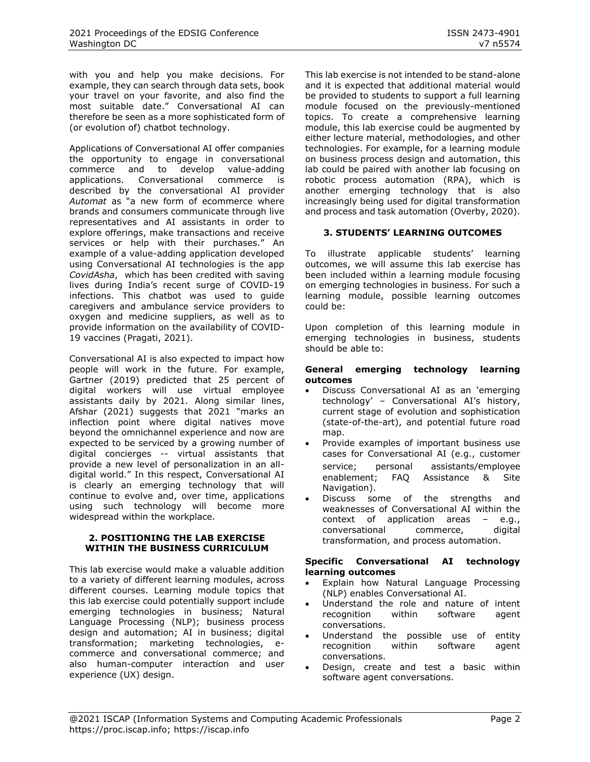with you and help you make decisions. For example, they can search through data sets, book your travel on your favorite, and also find the most suitable date." Conversational AI can therefore be seen as a more sophisticated form of (or evolution of) chatbot technology.

Applications of Conversational AI offer companies the opportunity to engage in conversational commerce and to develop value-adding applications. Conversational commerce is described by the conversational AI provider *Automat* as "a new form of ecommerce where brands and consumers communicate through live representatives and AI assistants in order to explore offerings, make transactions and receive services or help with their purchases." An example of a value-adding application developed using Conversational AI technologies is the app *CovidAsha*, which has been credited with saving lives during India's recent surge of COVID-19 infections. This chatbot was used to guide caregivers and ambulance service providers to oxygen and medicine suppliers, as well as to provide information on the availability of COVID-19 vaccines (Pragati, 2021).

Conversational AI is also expected to impact how people will work in the future. For example, Gartner (2019) predicted that 25 percent of digital workers will use virtual employee assistants daily by 2021. Along similar lines, Afshar (2021) suggests that 2021 "marks an inflection point where digital natives move beyond the omnichannel experience and now are expected to be serviced by a growing number of digital concierges -- virtual assistants that provide a new level of personalization in an alldigital world." In this respect, Conversational AI is clearly an emerging technology that will continue to evolve and, over time, applications using such technology will become more widespread within the workplace.

#### **2. POSITIONING THE LAB EXERCISE WITHIN THE BUSINESS CURRICULUM**

This lab exercise would make a valuable addition to a variety of different learning modules, across different courses. Learning module topics that this lab exercise could potentially support include emerging technologies in business; Natural Language Processing (NLP); business process design and automation; AI in business; digital transformation; marketing technologies, ecommerce and conversational commerce; and also human-computer interaction and user experience (UX) design.

This lab exercise is not intended to be stand-alone and it is expected that additional material would be provided to students to support a full learning module focused on the previously-mentioned topics. To create a comprehensive learning module, this lab exercise could be augmented by either lecture material, methodologies, and other technologies. For example, for a learning module on business process design and automation, this lab could be paired with another lab focusing on robotic process automation (RPA), which is another emerging technology that is also increasingly being used for digital transformation and process and task automation (Overby, 2020).

### **3. STUDENTS' LEARNING OUTCOMES**

To illustrate applicable students' learning outcomes, we will assume this lab exercise has been included within a learning module focusing on emerging technologies in business. For such a learning module, possible learning outcomes could be:

Upon completion of this learning module in emerging technologies in business, students should be able to:

#### **General emerging technology learning outcomes**

- Discuss Conversational AI as an 'emerging technology' – Conversational AI's history, current stage of evolution and sophistication (state-of-the-art), and potential future road map.
- Provide examples of important business use cases for Conversational AI (e.g., customer service; personal assistants/employee enablement; FAQ Assistance & Site Navigation).
- Discuss some of the strengths and weaknesses of Conversational AI within the context of application areas – e.g., conversational commerce, digital transformation, and process automation.

#### **Specific Conversational AI technology learning outcomes**

- Explain how Natural Language Processing (NLP) enables Conversational AI.
- Understand the role and nature of intent recognition within software agent conversations.
- Understand the possible use of entity<br>
recognition within software agent recognition within software agent conversations.
- Design, create and test a basic within software agent conversations.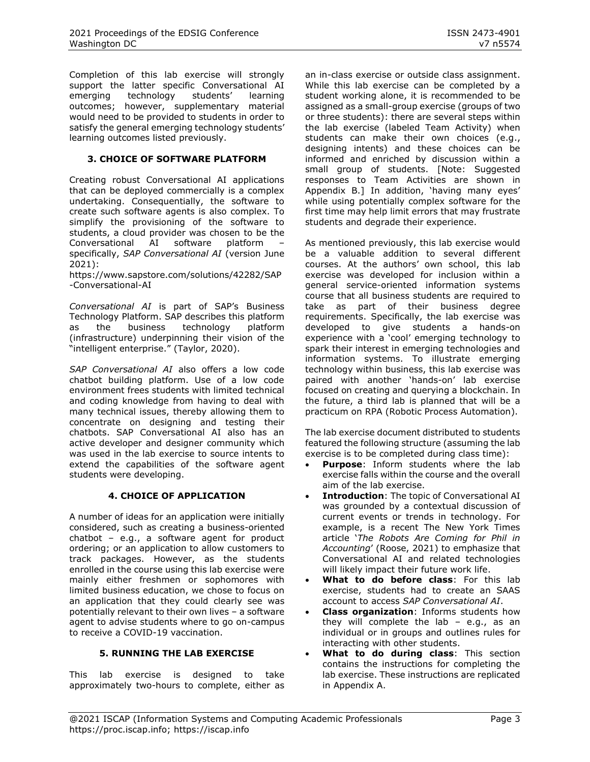Completion of this lab exercise will strongly support the latter specific Conversational AI emerging technology students' learning outcomes; however, supplementary material would need to be provided to students in order to satisfy the general emerging technology students' learning outcomes listed previously.

#### **3. CHOICE OF SOFTWARE PLATFORM**

Creating robust Conversational AI applications that can be deployed commercially is a complex undertaking. Consequentially, the software to create such software agents is also complex. To simplify the provisioning of the software to students, a cloud provider was chosen to be the Conversational AI software platform – specifically, *SAP Conversational AI* (version June 2021):

[https://www.sapstore.com/solutions/42282/SAP](https://www.sapstore.com/solutions/42282/SAP-Conversational-AI) [-Conversational-AI](https://www.sapstore.com/solutions/42282/SAP-Conversational-AI)

*Conversational AI* is part of SAP's Business Technology Platform. SAP describes this platform as the business technology platform (infrastructure) underpinning their vision of the "intelligent enterprise." (Taylor, 2020).

*SAP Conversational AI* also offers a low code chatbot building platform. Use of a low code environment frees students with limited technical and coding knowledge from having to deal with many technical issues, thereby allowing them to concentrate on designing and testing their chatbots. SAP Conversational AI also has an active developer and designer community which was used in the lab exercise to source intents to extend the capabilities of the software agent students were developing.

#### **4. CHOICE OF APPLICATION**

A number of ideas for an application were initially considered, such as creating a business-oriented chatbot – e.g., a software agent for product ordering; or an application to allow customers to track packages. However, as the students enrolled in the course using this lab exercise were mainly either freshmen or sophomores with limited business education, we chose to focus on an application that they could clearly see was potentially relevant to their own lives – a software agent to advise students where to go on-campus to receive a COVID-19 vaccination.

#### **5. RUNNING THE LAB EXERCISE**

This lab exercise is designed to take approximately two-hours to complete, either as an in-class exercise or outside class assignment. While this lab exercise can be completed by a student working alone, it is recommended to be assigned as a small-group exercise (groups of two or three students): there are several steps within the lab exercise (labeled Team Activity) when students can make their own choices (e.g., designing intents) and these choices can be informed and enriched by discussion within a small group of students. [Note: Suggested responses to Team Activities are shown in Appendix B.] In addition, 'having many eyes' while using potentially complex software for the first time may help limit errors that may frustrate students and degrade their experience.

As mentioned previously, this lab exercise would be a valuable addition to several different courses. At the authors' own school, this lab exercise was developed for inclusion within a general service-oriented information systems course that all business students are required to take as part of their business degree requirements. Specifically, the lab exercise was developed to give students a hands-on experience with a 'cool' emerging technology to spark their interest in emerging technologies and information systems. To illustrate emerging technology within business, this lab exercise was paired with another 'hands-on' lab exercise focused on creating and querying a blockchain. In the future, a third lab is planned that will be a practicum on RPA (Robotic Process Automation).

The lab exercise document distributed to students featured the following structure (assuming the lab exercise is to be completed during class time):

- **Purpose:** Inform students where the lab exercise falls within the course and the overall aim of the lab exercise.
- **Introduction:** The topic of Conversational AI was grounded by a contextual discussion of current events or trends in technology. For example, is a recent The New York Times article '*The Robots Are Coming for Phil in Accounting*' (Roose, 2021) to emphasize that Conversational AI and related technologies will likely impact their future work life.
- **What to do before class**: For this lab exercise, students had to create an SAAS account to access *SAP Conversational AI*.
- **Class organization**: Informs students how they will complete the  $lab - eq.$ , as an individual or in groups and outlines rules for interacting with other students.
- **What to do during class**: This section contains the instructions for completing the lab exercise. These instructions are replicated in Appendix A.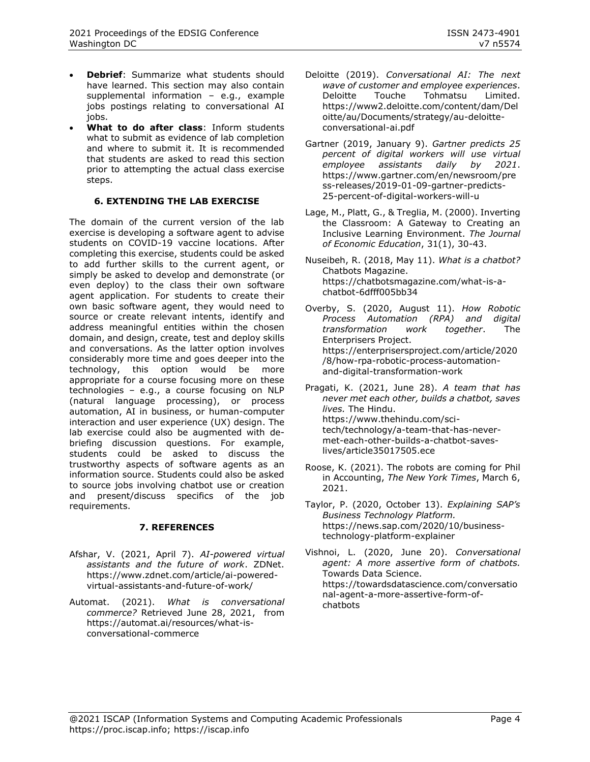- **Debrief:** Summarize what students should have learned. This section may also contain supplemental information – e.g., example jobs postings relating to conversational AI iobs.
- **What to do after class**: Inform students what to submit as evidence of lab completion and where to submit it. It is recommended that students are asked to read this section prior to attempting the actual class exercise steps.

#### **6. EXTENDING THE LAB EXERCISE**

The domain of the current version of the lab exercise is developing a software agent to advise students on COVID-19 vaccine locations. After completing this exercise, students could be asked to add further skills to the current agent, or simply be asked to develop and demonstrate (or even deploy) to the class their own software agent application. For students to create their own basic software agent, they would need to source or create relevant intents, identify and address meaningful entities within the chosen domain, and design, create, test and deploy skills and conversations. As the latter option involves considerably more time and goes deeper into the technology, this option would be more appropriate for a course focusing more on these technologies – e.g., a course focusing on NLP (natural language processing), or process automation, AI in business, or human-computer interaction and user experience (UX) design. The lab exercise could also be augmented with debriefing discussion questions. For example, students could be asked to discuss the trustworthy aspects of software agents as an information source. Students could also be asked to source jobs involving chatbot use or creation and present/discuss specifics of the job requirements.

#### **7. REFERENCES**

- Afshar, V. (2021, April 7). *AI-powered virtual assistants and the future of work*. ZDNet. [https://www.zdnet.com/article/ai-powered](https://www.zdnet.com/article/ai-powered-virtual-assistants-and-future-of-work/)[virtual-assistants-and-future-of-work/](https://www.zdnet.com/article/ai-powered-virtual-assistants-and-future-of-work/)
- Automat. (2021). *What is conversational commerce?* Retrieved June 28, 2021, from [https://automat.ai/resources/what-is](https://automat.ai/resources/what-is-conversational-commerce)[conversational-commerce](https://automat.ai/resources/what-is-conversational-commerce)
- Deloitte (2019). *Conversational AI: The next wave of customer and employee experiences*. Deloitte Touche Tohmatsu Limited. [https://www2.deloitte.com/content/dam/Del](https://www2.deloitte.com/content/dam/Deloitte/au/Documents/strategy/au-deloitte-conversational-ai.pdf) [oitte/au/Documents/strategy/au-deloitte](https://www2.deloitte.com/content/dam/Deloitte/au/Documents/strategy/au-deloitte-conversational-ai.pdf)[conversational-ai.pdf](https://www2.deloitte.com/content/dam/Deloitte/au/Documents/strategy/au-deloitte-conversational-ai.pdf)
- Gartner (2019, January 9). *Gartner predicts 25 percent of digital workers will use virtual employee assistants daily by 2021*. [https://www.gartner.com/en/newsroom/pre](https://www.gartner.com/en/newsroom/press-releases/2019-01-09-gartner-predicts-25-percent-of-digital-workers-will-u) [ss-releases/2019-01-09-gartner-predicts-](https://www.gartner.com/en/newsroom/press-releases/2019-01-09-gartner-predicts-25-percent-of-digital-workers-will-u)[25-percent-of-digital-workers-will-u](https://www.gartner.com/en/newsroom/press-releases/2019-01-09-gartner-predicts-25-percent-of-digital-workers-will-u)
- Lage, M., Platt, G., & Treglia, M. (2000). Inverting the Classroom: A Gateway to Creating an Inclusive Learning Environment. *The Journal of Economic Education*, 31(1), 30-43.
- Nuseibeh, R. (2018, May 11). *What is a chatbot?* Chatbots Magazine. [https://chatbotsmagazine.com/what-is-a](https://chatbotsmagazine.com/what-is-a-chatbot-6dfff005bb34)[chatbot-6dfff005bb34](https://chatbotsmagazine.com/what-is-a-chatbot-6dfff005bb34)
- Overby, S. (2020, August 11). *How Robotic Process Automation (RPA) and digital transformation work together*. The Enterprisers Project. [https://enterprisersproject.com/article/2020](https://enterprisersproject.com/article/2020/8/how-rpa-robotic-process-automation-and-digital-transformation-work) [/8/how-rpa-robotic-process-automation](https://enterprisersproject.com/article/2020/8/how-rpa-robotic-process-automation-and-digital-transformation-work)[and-digital-transformation-work](https://enterprisersproject.com/article/2020/8/how-rpa-robotic-process-automation-and-digital-transformation-work)
- Pragati, K. (2021, June 28). *A team that has never met each other, builds a chatbot, saves lives.* The Hindu. [https://www.thehindu.com/sci](https://www.thehindu.com/sci-tech/technology/a-team-that-has-never-met-each-other-builds-a-chatbot-saves-lives/article35017505.ece)[tech/technology/a-team-that-has-never](https://www.thehindu.com/sci-tech/technology/a-team-that-has-never-met-each-other-builds-a-chatbot-saves-lives/article35017505.ece)[met-each-other-builds-a-chatbot-saves](https://www.thehindu.com/sci-tech/technology/a-team-that-has-never-met-each-other-builds-a-chatbot-saves-lives/article35017505.ece)[lives/article35017505.ece](https://www.thehindu.com/sci-tech/technology/a-team-that-has-never-met-each-other-builds-a-chatbot-saves-lives/article35017505.ece)
- Roose, K. (2021). The robots are coming for Phil in Accounting, *The New York Times*, March 6, 2021.
- Taylor, P. (2020, October 13). *Explaining SAP's Business Technology Platform.* [https://news.sap.com/2020/10/business](https://news.sap.com/2020/10/business-technology-platform-explainer)[technology-platform-explainer](https://news.sap.com/2020/10/business-technology-platform-explainer)
- Vishnoi, L. (2020, June 20). *Conversational agent: A more assertive form of chatbots.* Towards Data Science. [https://towardsdatascience.com/conversatio](https://towardsdatascience.com/conversational-agent-a-more-assertive-form-of-chatbots) [nal-agent-a-more-assertive-form-of](https://towardsdatascience.com/conversational-agent-a-more-assertive-form-of-chatbots)[chatbots](https://towardsdatascience.com/conversational-agent-a-more-assertive-form-of-chatbots)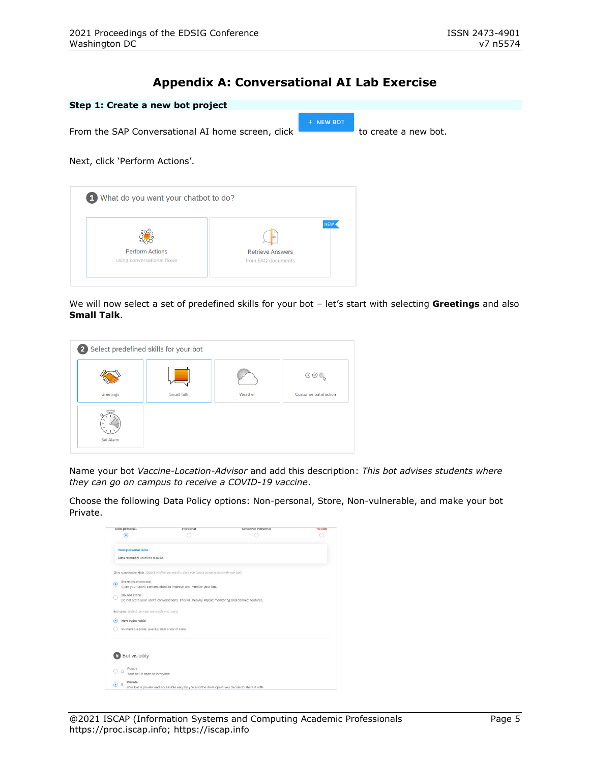# **Appendix A: Conversational AI Lab Exercise**

| Step 1: Create a new bot project                  |                         |           |                      |
|---------------------------------------------------|-------------------------|-----------|----------------------|
| From the SAP Conversational AI home screen, click |                         | + NEW BOT | to create a new bot. |
| Next, click 'Perform Actions'.                    |                         |           |                      |
|                                                   |                         |           |                      |
| 1 What do you want your chatbot to do?            |                         |           |                      |
|                                                   | Þ                       | NEW       |                      |
| <b>Perform Actions</b>                            | <b>Retrieve Answers</b> |           |                      |
| using conversational flows                        | from FAQ documents      |           |                      |
|                                                   |                         |           |                      |

We will now select a set of predefined skills for your bot – let's start with selecting **Greetings** and also **Small Talk**.



Name your bot *Vaccine-Location-Advisor* and add this description: *This bot advises students where they can go on campus to receive a COVID-19 vaccine*.

Choose the following Data Policy options: Non-personal, Store, Non-vulnerable, and make your bot Private.

| Non-personal                                        | Personal                                                                                           | Sensitive Personal | Health |
|-----------------------------------------------------|----------------------------------------------------------------------------------------------------|--------------------|--------|
| $\circ$                                             |                                                                                                    |                    |        |
| Non-personal data                                   |                                                                                                    |                    |        |
| Data retention: unlimited duration                  |                                                                                                    |                    |        |
|                                                     |                                                                                                    |                    |        |
|                                                     | Store conversation data (Select whether you want to store your user's conversations with your bot) |                    |        |
| Store (recommended)<br>o.                           |                                                                                                    |                    |        |
|                                                     | Store your user's conversations to improve and monitor your bot.                                   |                    |        |
| Do not store                                        |                                                                                                    |                    |        |
|                                                     | Do not store your user's conversations. This will heavily impact monitoring and connect features.  |                    |        |
|                                                     |                                                                                                    |                    |        |
| End users (Select the most vulnerable end users)    |                                                                                                    |                    |        |
| Non-vulnerable<br>٠                                 |                                                                                                    |                    |        |
| Vulnerable (child, juvenile, adult at risk of harm) |                                                                                                    |                    |        |
|                                                     |                                                                                                    |                    |        |
|                                                     |                                                                                                    |                    |        |
|                                                     |                                                                                                    |                    |        |
| Bot visibility                                      |                                                                                                    |                    |        |
|                                                     |                                                                                                    |                    |        |
| Public<br>ô                                         |                                                                                                    |                    |        |
| Your bot is open to everyone                        |                                                                                                    |                    |        |
| Private<br>- 19<br>۰                                |                                                                                                    |                    |        |
|                                                     | Your bot is private and accessible only by you and the developers you decide to share it with      |                    |        |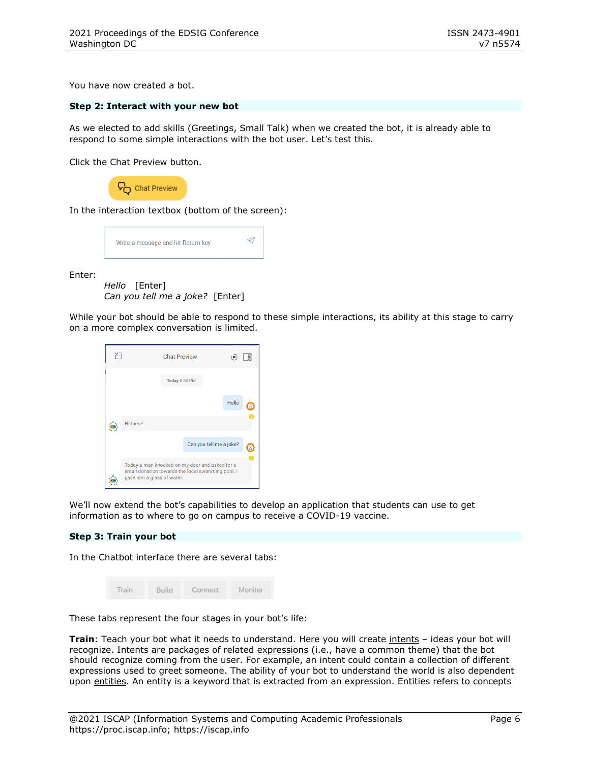You have now created a bot.

#### **Step 2: Interact with your new bot**

As we elected to add skills (Greetings, Small Talk) when we created the bot, it is already able to respond to some simple interactions with the bot user. Let's test this.

Click the Chat Preview button.



In the interaction textbox (bottom of the screen):



Enter:

*Hello* [Enter] *Can you tell me a joke?* [Enter]

While your bot should be able to respond to these simple interactions, its ability at this stage to carry on a more complex conversation is limited.



We'll now extend the bot's capabilities to develop an application that students can use to get information as to where to go on campus to receive a COVID-19 vaccine.

#### **Step 3: Train your bot**

In the Chatbot interface there are several tabs:

|  | Train | <b>Build</b> | Connect | <b>Monitor</b> |
|--|-------|--------------|---------|----------------|
|--|-------|--------------|---------|----------------|

These tabs represent the four stages in your bot's life:

**Train**: Teach your bot what it needs to understand. Here you will create intents – ideas your bot will recognize. Intents are packages of related expressions (i.e., have a common theme) that the bot should recognize coming from the user. For example, an intent could contain a collection of different expressions used to greet someone. The ability of your bot to understand the world is also dependent upon entities. An entity is a keyword that is extracted from an expression. Entities refers to concepts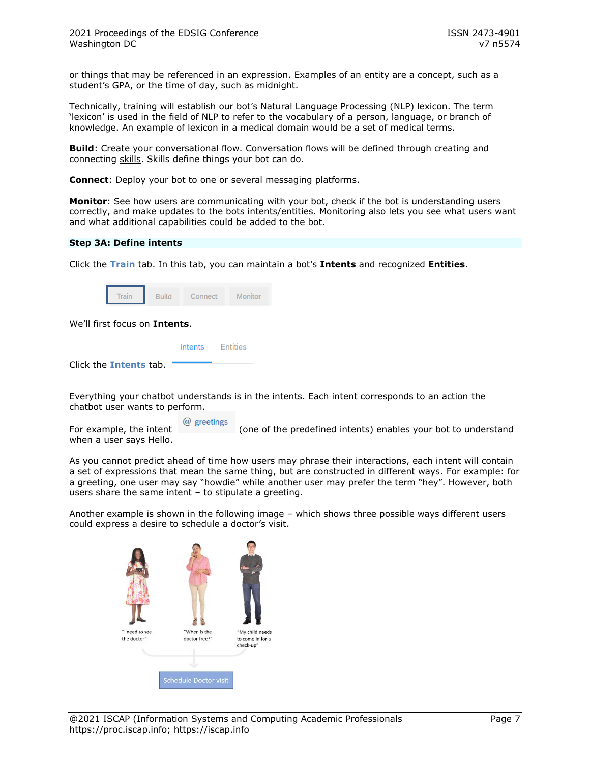or things that may be referenced in an expression. Examples of an entity are a concept, such as a student's GPA, or the time of day, such as midnight.

Technically, training will establish our bot's Natural Language Processing (NLP) lexicon. The term 'lexicon' is used in the field of NLP to refer to the vocabulary of a person, language, or branch of knowledge. An example of lexicon in a medical domain would be a set of medical terms.

**Build**: Create your conversational flow. Conversation flows will be defined through creating and connecting skills. Skills define things your bot can do.

**Connect**: Deploy your bot to one or several messaging platforms.

**Monitor**: See how users are communicating with your bot, check if the bot is understanding users correctly, and make updates to the bots intents/entities. Monitoring also lets you see what users want and what additional capabilities could be added to the bot.

#### **Step 3A: Define intents**

Click the **Train** tab. In this tab, you can maintain a bot's **Intents** and recognized **Entities**.

| Train | <b>Build</b> | Connect | Monitor |
|-------|--------------|---------|---------|
|-------|--------------|---------|---------|

We'll first focus on **Intents**.

|                               | Intents Entities |
|-------------------------------|------------------|
| Click the <b>Intents</b> tab. |                  |

Everything your chatbot understands is in the intents. Each intent corresponds to an action the chatbot user wants to perform.

For example, the intent  $\omega$  greetings (one of the predefined intents) enables your bot to understand when a user says Hello.

As you cannot predict ahead of time how users may phrase their interactions, each intent will contain a set of expressions that mean the same thing, but are constructed in different ways. For example: for a greeting, one user may say "howdie" while another user may prefer the term "hey". However, both users share the same intent – to stipulate a greeting.

Another example is shown in the following image – which shows three possible ways different users could express a desire to schedule a doctor's visit.

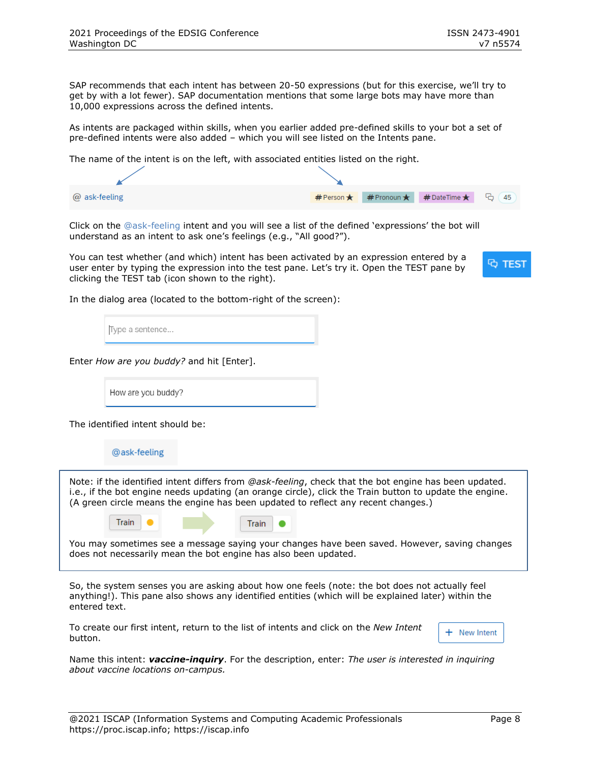SAP recommends that each intent has between 20-50 expressions (but for this exercise, we'll try to get by with a lot fewer). SAP documentation mentions that some large bots may have more than 10,000 expressions across the defined intents.

As intents are packaged within skills, when you earlier added pre-defined skills to your bot a set of pre-defined intents were also added – which you will see listed on the Intents pane.

The name of the intent is on the left, with associated entities listed on the right.

| @ ask-feeling |  | #Person★ #Pronoun★ #DateTime★ G 45 |  |
|---------------|--|------------------------------------|--|

Click on the @ask-feeling intent and you will see a list of the defined 'expressions' the bot will understand as an intent to ask one's feelings (e.g., "All good?").

You can test whether (and which) intent has been activated by an expression entered by a user enter by typing the expression into the test pane. Let's try it. Open the TEST pane by clicking the TEST tab (icon shown to the right).



In the dialog area (located to the bottom-right of the screen):

Type a sentence...

Enter *How are you buddy?* and hit [Enter].

How are you buddy?

The identified intent should be:

@ask-feeling

Note: if the identified intent differs from *@ask-feeling*, check that the bot engine has been updated. i.e., if the bot engine needs updating (an orange circle), click the Train button to update the engine. (A green circle means the engine has been updated to reflect any recent changes.)

| Train |  | Train |  |
|-------|--|-------|--|
|       |  |       |  |

You may sometimes see a message saying your changes have been saved. However, saving changes does not necessarily mean the bot engine has also been updated.

So, the system senses you are asking about how one feels (note: the bot does not actually feel anything!). This pane also shows any identified entities (which will be explained later) within the entered text.

To create our first intent, return to the list of intents and click on the *New Intent* button.

+ New Intent

Name this intent: *vaccine-inquiry*. For the description, enter: *The user is interested in inquiring about vaccine locations on-campus.*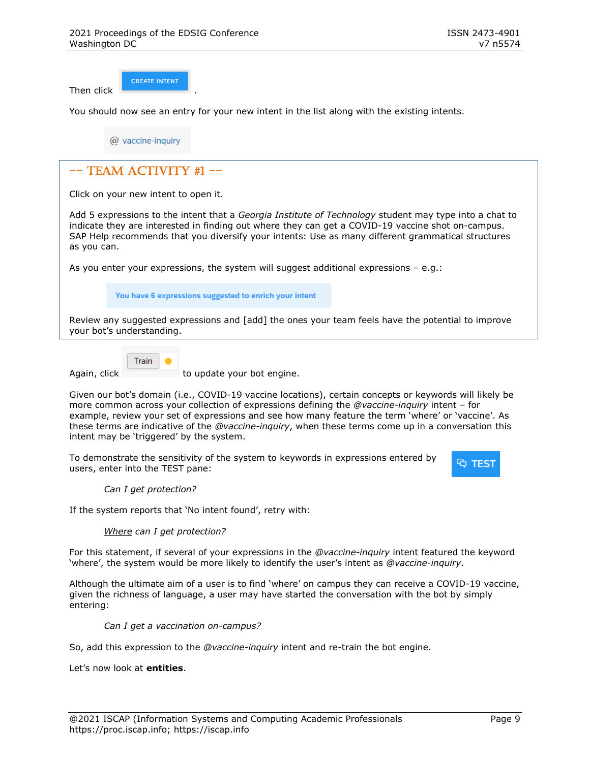Then click .

**CREATE INTENT** 

You should now see an entry for your new intent in the list along with the existing intents.

@ vaccine-inquiry

# $--$  TEAM ACTIVITY #1  $--$

Click on your new intent to open it.

Add 5 expressions to the intent that a *Georgia Institute of Technology* student may type into a chat to indicate they are interested in finding out where they can get a COVID-19 vaccine shot on-campus. SAP Help recommends that you diversify your intents: Use as many different grammatical structures as you can.

As you enter your expressions, the system will suggest additional expressions – e.g.:

You have 6 expressions suggested to enrich your intent

Review any suggested expressions and [add] the ones your team feels have the potential to improve your bot's understanding.



Again, click to update your bot engine.

Given our bot's domain (i.e., COVID-19 vaccine locations), certain concepts or keywords will likely be more common across your collection of expressions defining the *@vaccine-inquiry* intent – for example, review your set of expressions and see how many feature the term 'where' or 'vaccine'. As these terms are indicative of the *@vaccine-inquiry*, when these terms come up in a conversation this intent may be 'triggered' by the system.

To demonstrate the sensitivity of the system to keywords in expressions entered by users, enter into the TEST pane:



*Can I get protection?* 

If the system reports that 'No intent found', retry with:

#### *Where can I get protection?*

For this statement, if several of your expressions in the *@vaccine-inquiry* intent featured the keyword 'where', the system would be more likely to identify the user's intent as *@vaccine-inquiry*.

Although the ultimate aim of a user is to find 'where' on campus they can receive a COVID-19 vaccine, given the richness of language, a user may have started the conversation with the bot by simply entering:

*Can I get a vaccination on-campus?*

So, add this expression to the *@vaccine-inquiry* intent and re-train the bot engine.

Let's now look at **entities**.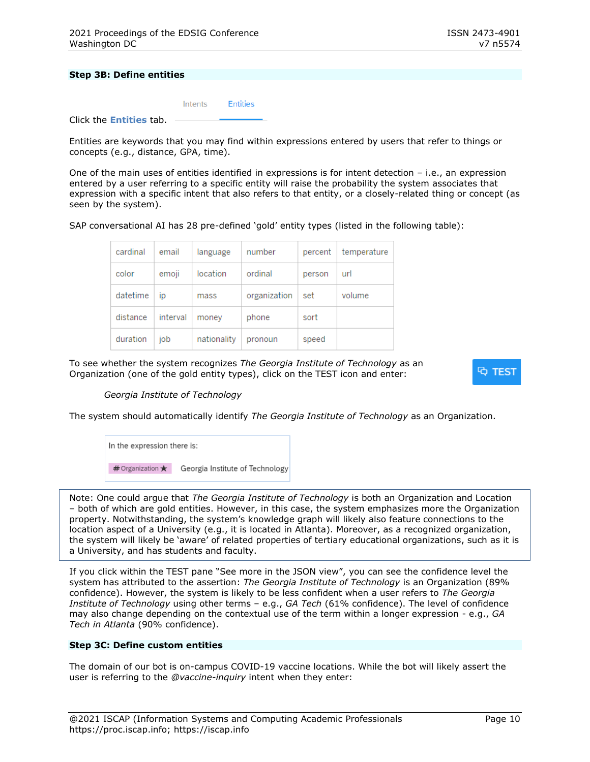#### **Step 3B: Define entities**

|                                | Intents Entities |  |
|--------------------------------|------------------|--|
| Click the <b>Entities</b> tab. |                  |  |

Entities are keywords that you may find within expressions entered by users that refer to things or concepts (e.g., distance, GPA, time).

One of the main uses of entities identified in expressions is for intent detection – i.e., an expression entered by a user referring to a specific entity will raise the probability the system associates that expression with a specific intent that also refers to that entity, or a closely-related thing or concept (as seen by the system).

SAP conversational AI has 28 pre-defined 'gold' entity types (listed in the following table):

| cardinal | email    | language    | number       | percent | temperature |
|----------|----------|-------------|--------------|---------|-------------|
| color    | emoji    | location    | ordinal      | person  | url         |
| datetime | ıp       | mass        | organization | set     | volume      |
| distance | interval | money       | phone        | sort    |             |
| duration | job      | nationality | pronoun      | speed   |             |

To see whether the system recognizes *The Georgia Institute of Technology* as an Organization (one of the gold entity types), click on the TEST icon and enter:

্ব test

#### *Georgia Institute of Technology*

The system should automatically identify *The Georgia Institute of Technology* as an Organization.



Note: One could argue that *The Georgia Institute of Technology* is both an Organization and Location – both of which are gold entities. However, in this case, the system emphasizes more the Organization property. Notwithstanding, the system's knowledge graph will likely also feature connections to the location aspect of a University (e.g., it is located in Atlanta). Moreover, as a recognized organization, the system will likely be 'aware' of related properties of tertiary educational organizations, such as it is a University, and has students and faculty.

If you click within the TEST pane "See more in the JSON view", you can see the confidence level the system has attributed to the assertion: *The Georgia Institute of Technology* is an Organization (89% confidence). However, the system is likely to be less confident when a user refers to *The Georgia Institute of Technology* using other terms – e.g., *GA Tech* (61% confidence). The level of confidence may also change depending on the contextual use of the term within a longer expression - e.g., *GA Tech in Atlanta* (90% confidence).

#### **Step 3C: Define custom entities**

The domain of our bot is on-campus COVID-19 vaccine locations. While the bot will likely assert the user is referring to the *@vaccine-inquiry* intent when they enter: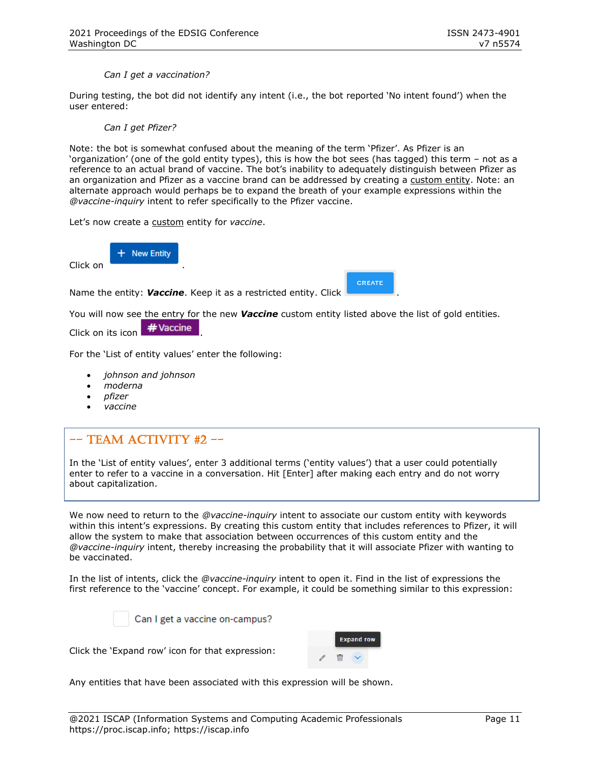*Can I get a vaccination?*

During testing, the bot did not identify any intent (i.e., the bot reported 'No intent found') when the user entered:

#### *Can I get Pfizer?*

Note: the bot is somewhat confused about the meaning of the term 'Pfizer'. As Pfizer is an 'organization' (one of the gold entity types), this is how the bot sees (has tagged) this term – not as a reference to an actual brand of vaccine. The bot's inability to adequately distinguish between Pfizer as an organization and Pfizer as a vaccine brand can be addressed by creating a custom entity. Note: an alternate approach would perhaps be to expand the breath of your example expressions within the *@vaccine-inquiry* intent to refer specifically to the Pfizer vaccine.

Let's now create a custom entity for *vaccine*.

**New Entity** 

Click on .

Name the entity: **Vaccine**. Keep it as a restricted entity. Click

You will now see the entry for the new *Vaccine* custom entity listed above the list of gold entities.

**CREATE** 

Click on its icon  $\frac{H}{1}$  Vaccine

For the 'List of entity values' enter the following:

- *johnson and johnson*
- *moderna*
- *pfizer*
- *vaccine*

# $--$  TEAM ACTIVITY #2  $--$

In the 'List of entity values', enter 3 additional terms ('entity values') that a user could potentially enter to refer to a vaccine in a conversation. Hit [Enter] after making each entry and do not worry about capitalization.

We now need to return to the *@vaccine-inquiry* intent to associate our custom entity with keywords within this intent's expressions. By creating this custom entity that includes references to Pfizer, it will allow the system to make that association between occurrences of this custom entity and the *@vaccine-inquiry* intent, thereby increasing the probability that it will associate Pfizer with wanting to be vaccinated.

In the list of intents, click the *@vaccine-inquiry* intent to open it. Find in the list of expressions the first reference to the 'vaccine' concept. For example, it could be something similar to this expression:



Can I get a vaccine on-campus?

Click the 'Expand row' icon for that expression:



Any entities that have been associated with this expression will be shown.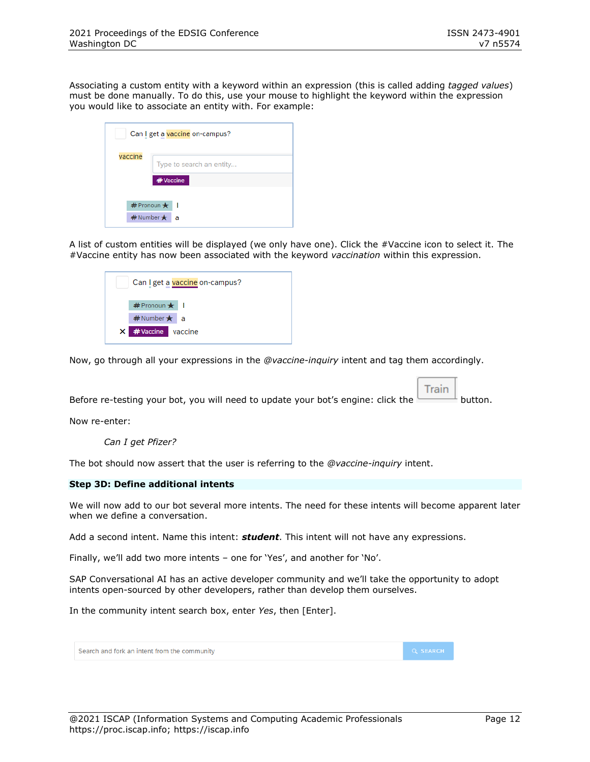Associating a custom entity with a keyword within an expression (this is called adding *tagged values*) must be done manually. To do this, use your mouse to highlight the keyword within the expression you would like to associate an entity with. For example:

| Can I get a vaccine on-campus? |                            |  |  |  |
|--------------------------------|----------------------------|--|--|--|
| vaccine                        | Type to search an entity   |  |  |  |
|                                | # Vaccine                  |  |  |  |
|                                | $#$ Pronoun $\bigstar$     |  |  |  |
|                                | $#$ Number $\bigstar$<br>а |  |  |  |

A list of custom entities will be displayed (we only have one). Click the #Vaccine icon to select it. The #Vaccine entity has now been associated with the keyword *vaccination* within this expression.

| Can I get a vaccine on-campus? |  |
|--------------------------------|--|
| # Pronoun ★                    |  |
| $#$ Number $\star$ a           |  |
| X #Vaccine vaccine             |  |

Now, go through all your expressions in the *@vaccine-inquiry* intent and tag them accordingly.

Train Before re-testing your bot, you will need to update your bot's engine: click the  $\Box$ button.

Now re-enter:

*Can I get Pfizer?*

The bot should now assert that the user is referring to the *@vaccine-inquiry* intent.

#### **Step 3D: Define additional intents**

We will now add to our bot several more intents. The need for these intents will become apparent later when we define a conversation.

Add a second intent. Name this intent: *student*. This intent will not have any expressions.

Finally, we'll add two more intents – one for 'Yes', and another for 'No'.

SAP Conversational AI has an active developer community and we'll take the opportunity to adopt intents open-sourced by other developers, rather than develop them ourselves.

In the community intent search box, enter *Yes*, then [Enter].

| Search and fork an intent from the community | <b>Q SEARCH</b> |
|----------------------------------------------|-----------------|
|                                              |                 |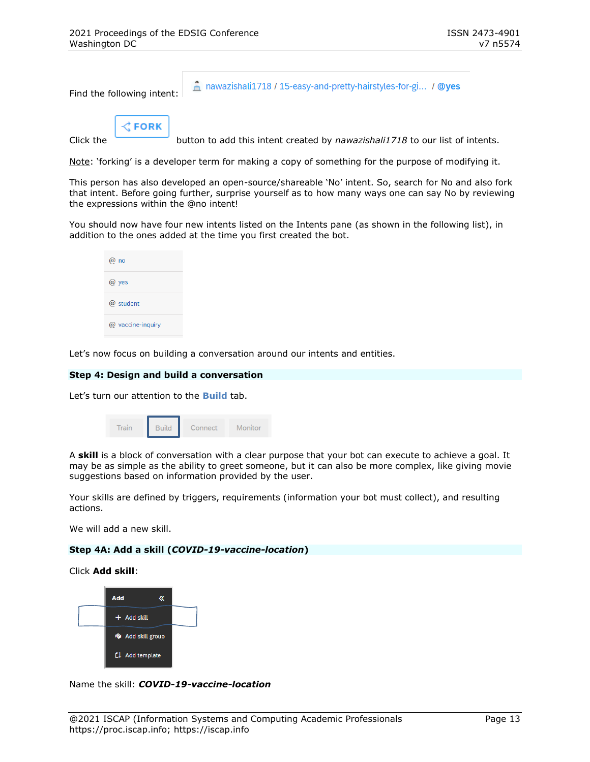Find the following intent:

A nawazishali1718 / 15-easy-and-pretty-hairstyles-for-gi... / @yes

 $\zeta$  FORK

Click the button to add this intent created by *nawazishali1718* to our list of intents.

Note: 'forking' is a developer term for making a copy of something for the purpose of modifying it.

This person has also developed an open-source/shareable 'No' intent. So, search for No and also fork that intent. Before going further, surprise yourself as to how many ways one can say No by reviewing the expressions within the @no intent!

You should now have four new intents listed on the Intents pane (as shown in the following list), in addition to the ones added at the time you first created the bot.

| no<br>α           |
|-------------------|
| $\omega$ yes      |
| $\omega$ student  |
| @ vaccine-inquiry |

Let's now focus on building a conversation around our intents and entities.

#### **Step 4: Design and build a conversation**

Let's turn our attention to the **Build** tab.

| Train | <b>Build</b> | Connect | Monitor |
|-------|--------------|---------|---------|
|       |              |         |         |

A **skill** is a block of conversation with a clear purpose that your bot can execute to achieve a goal. It may be as simple as the ability to greet someone, but it can also be more complex, like giving movie suggestions based on information provided by the user.

Your skills are defined by triggers, requirements (information your bot must collect), and resulting actions.

We will add a new skill.

#### **Step 4A: Add a skill (***COVID-19-vaccine-location***)**

Click **Add skill**:



Name the skill: *COVID-19-vaccine-location*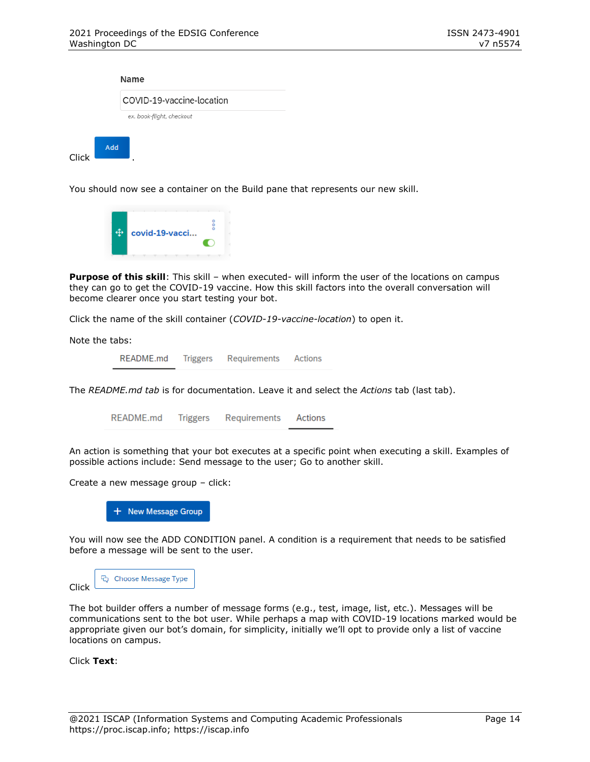|       |     | Name                      |
|-------|-----|---------------------------|
|       |     | COVID-19-vaccine-location |
|       |     | ex. book-flight, checkout |
| Click | Add | ٠                         |

You should now see a container on the Build pane that represents our new skill.



**Purpose of this skill**: This skill – when executed- will inform the user of the locations on campus they can go to get the COVID-19 vaccine. How this skill factors into the overall conversation will become clearer once you start testing your bot.

Click the name of the skill container (*COVID-19-vaccine-location*) to open it.

Note the tabs:

README.md Triggers Requirements **Actions** 

The *README.md tab* is for documentation. Leave it and select the *Actions* tab (last tab).

README.md Triggers Requirements Actions

An action is something that your bot executes at a specific point when executing a skill. Examples of possible actions include: Send message to the user; Go to another skill.

Create a new message group – click:

+ New Message Group

You will now see the ADD CONDITION panel. A condition is a requirement that needs to be satisfied before a message will be sent to the user.

| Click | <b>Choose Message Type</b> |
|-------|----------------------------|
|       |                            |

The bot builder offers a number of message forms (e.g., test, image, list, etc.). Messages will be communications sent to the bot user. While perhaps a map with COVID-19 locations marked would be appropriate given our bot's domain, for simplicity, initially we'll opt to provide only a list of vaccine locations on campus.

Click **Text**: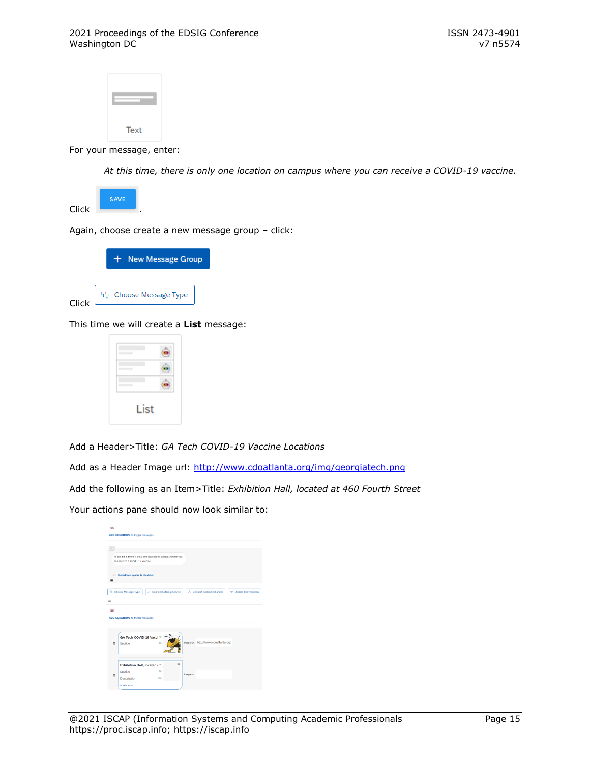

For your message, enter:

*At this time, there is only one location on campus where you can receive a COVID-19 vaccine.*



Again, choose create a new message group – click:



Click

This time we will create a **List** message:



Add a Header>Title: *GA Tech COVID-19 Vaccine Locations*

Add as a Header Image url:<http://www.cdoatlanta.org/img/georgiatech.png>

Add the following as an Item>Title: *Exhibition Hall, located at 460 Fourth Street*

Your actions pane should now look similar to:

| 翡        |                                                                                                                                   |
|----------|-----------------------------------------------------------------------------------------------------------------------------------|
|          | ADD CONDITION to trigger messages                                                                                                 |
| ٠        | At this time, there is only one location on campus where you<br>can receive a COVID-19 vaccine.<br>O Markdown syntax is disabled. |
| ≡<br>$=$ | Co Choose Message Type<br>P Connect External Service<br>8 Connect Fallback Channel<br>$\rightarrow$ Update Conversation           |
| 翡        |                                                                                                                                   |
|          | ADD CONDITION to trigger messages                                                                                                 |
| 申        | GA Tech COVID-19 Vacci 46<br>Image url http://www.cdoatlanta.org<br>80<br>Subtitle                                                |
| 冒        | Ξ<br>Exhibition Hall, located : 35<br>80<br>Subtitle<br>Image url<br>Description<br>130<br>Add button                             |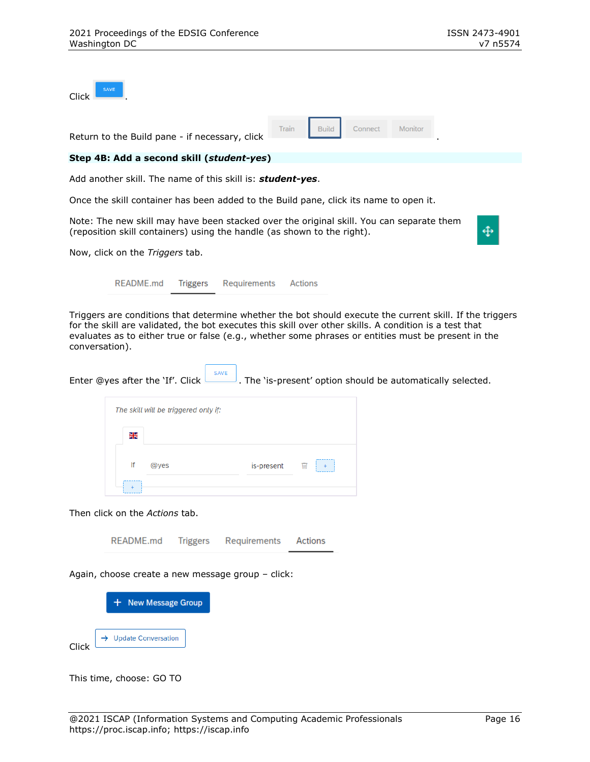| <b>SAVE</b><br>Click                                                                                                                                                |   |
|---------------------------------------------------------------------------------------------------------------------------------------------------------------------|---|
| Train<br><b>Build</b><br>Connect<br>Monitor<br>Return to the Build pane - if necessary, click                                                                       |   |
| Step 4B: Add a second skill (student-yes)                                                                                                                           |   |
| Add another skill. The name of this skill is: <b>student-yes</b> .                                                                                                  |   |
| Once the skill container has been added to the Build pane, click its name to open it.                                                                               |   |
| Note: The new skill may have been stacked over the original skill. You can separate them<br>(reposition skill containers) using the handle (as shown to the right). | ⊕ |

Now, click on the *Triggers* tab.

README.md **Triggers Actions** Requirements

Triggers are conditions that determine whether the bot should execute the current skill. If the triggers for the skill are validated, the bot executes this skill over other skills. A condition is a test that evaluates as to either true or false (e.g., whether some phrases or entities must be present in the conversation).

| SAVE |                                                                                                     |
|------|-----------------------------------------------------------------------------------------------------|
|      | Enter @yes after the 'If'. Click $\Box$ . The 'is-present' option should be automatically selected. |

|    | The skill will be triggered only if: |            |   |  |
|----|--------------------------------------|------------|---|--|
| ∺  |                                      |            |   |  |
| lf | @yes                                 | is-present | 喕 |  |
|    |                                      |            |   |  |

Then click on the *Actions* tab.

README.md **Triggers** Requirements Actions

Again, choose create a new message group – click:



This time, choose: GO TO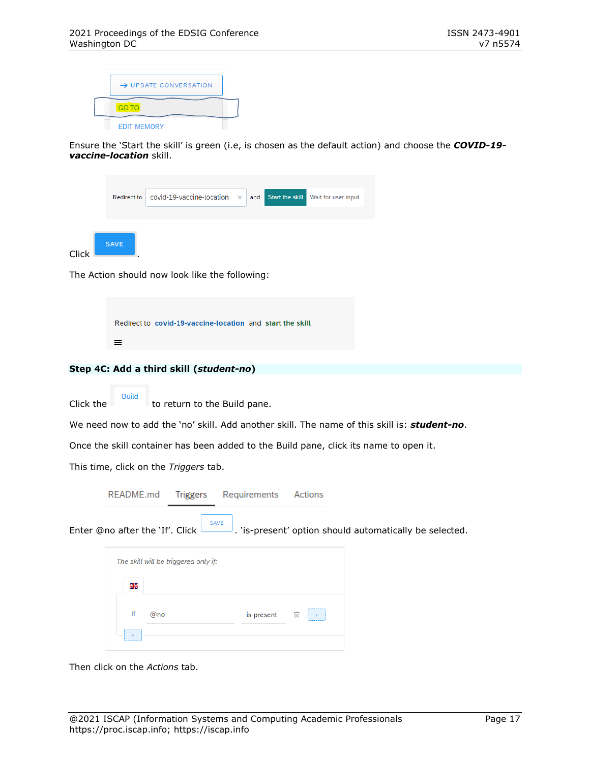| $\rightarrow$ UPDATE CONVERSATION |  |
|-----------------------------------|--|
| <b>GO TO</b>                      |  |
| <b>EDIT MEMORY</b>                |  |

Ensure the 'Start the skill' is green (i.e, is chosen as the default action) and choose the *COVID-19 vaccine-location* skill.

|             | Redirect to $\vert$ covid-19-vaccine-location $\times$ and |  | Start the skill Wait for user input |
|-------------|------------------------------------------------------------|--|-------------------------------------|
| <b>SAVE</b> |                                                            |  |                                     |

The Action should now look like the following:

|   | Redirect to covid-19-vaccine-location and start the skill |  |
|---|-----------------------------------------------------------|--|
| ≡ |                                                           |  |

#### **Step 4C: Add a third skill (***student-no***)**

Click the to return to the Build pane.

We need now to add the 'no' skill. Add another skill. The name of this skill is: *student-no*.

Once the skill container has been added to the Build pane, click its name to open it.

This time, click on the *Triggers* tab.

**Build** 

|   | README.md                                                                                    | Triggers Requirements | Actions |  |
|---|----------------------------------------------------------------------------------------------|-----------------------|---------|--|
|   | Enter @no after the 'If'. Click Lettle Lis-present' option should automatically be selected. | SAVE                  |         |  |
|   | The skill will be triggered only if:                                                         |                       |         |  |
| 을 |                                                                                              |                       |         |  |

is-present

 $\ddot{}$ 

w

Then click on the *Actions* tab.

If

 $\ddot{}$ 

@no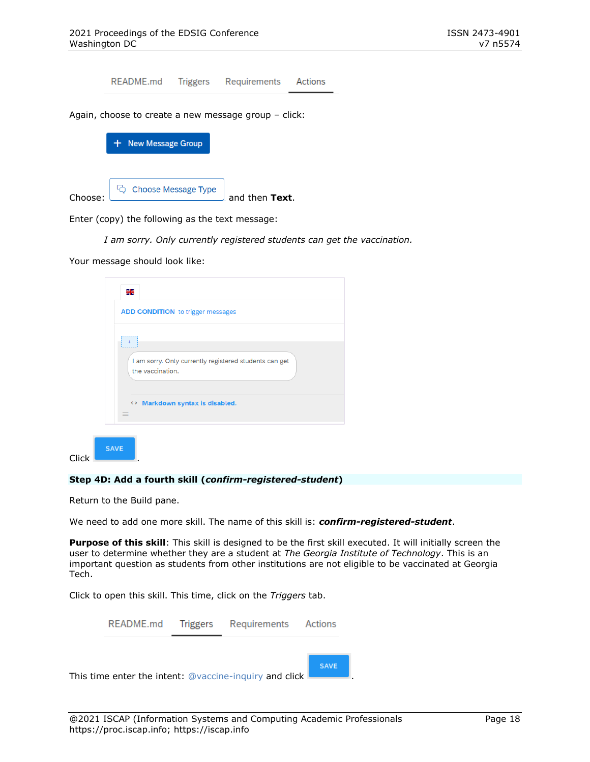README.md **Triggers** Requirements Actions Again, choose to create a new message group – click: + New Message Group

| Choose: | C <sub>Q</sub> Choose Message Type | and then Text. |
|---------|------------------------------------|----------------|

Enter (copy) the following as the text message:

*I am sorry. Only currently registered students can get the vaccination.*

Your message should look like:

|       | N 2<br>21                                                                  |
|-------|----------------------------------------------------------------------------|
|       | <b>ADD CONDITION</b> to trigger messages                                   |
|       | I am sorry. Only currently registered students can get<br>the vaccination. |
|       | <> Markdown syntax is disabled.<br>$\equiv$                                |
| Click | <b>SAVE</b>                                                                |

#### **Step 4D: Add a fourth skill (***confirm-registered-student***)**

Return to the Build pane.

We need to add one more skill. The name of this skill is: *confirm-registered-student*.

**Purpose of this skill**: This skill is designed to be the first skill executed. It will initially screen the user to determine whether they are a student at *The Georgia Institute of Technology*. This is an important question as students from other institutions are not eligible to be vaccinated at Georgia Tech.

Click to open this skill. This time, click on the *Triggers* tab.

|  | README.md Triggers Requirements Actions                |             |  |
|--|--------------------------------------------------------|-------------|--|
|  |                                                        |             |  |
|  | This time enter the intent: @vaccine-inquiry and click | <b>SAVE</b> |  |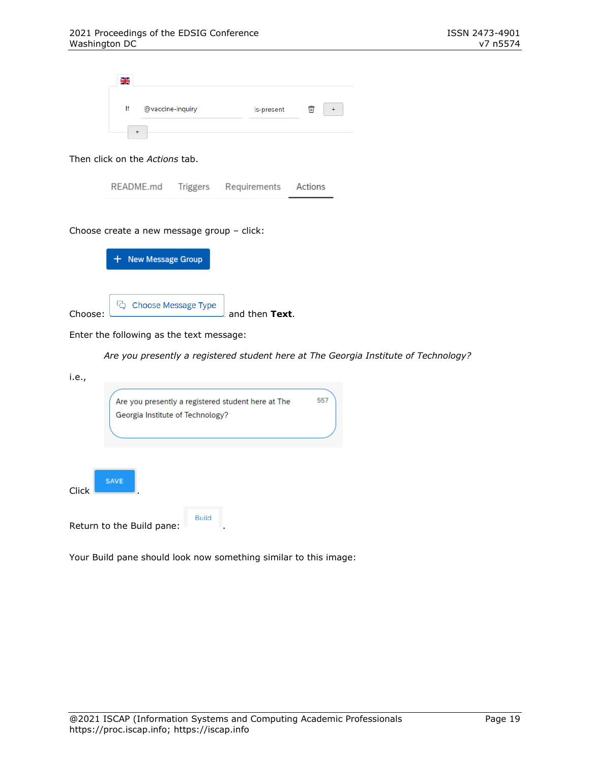| Ж  |                  |            |   |  |
|----|------------------|------------|---|--|
|    |                  |            |   |  |
| lf | @vaccine-inquiry | is-present | 而 |  |
|    |                  |            |   |  |
|    |                  |            |   |  |

#### Then click on the *Actions* tab.

| README.md | <b>Triggers</b> | <b>Requirements</b> | Actions |
|-----------|-----------------|---------------------|---------|
|-----------|-----------------|---------------------|---------|

#### Choose create a new message group – click:

|         | $+$ New Message Group              |                |
|---------|------------------------------------|----------------|
|         |                                    |                |
| Choose: | <sup>C</sup> Q Choose Message Type | and then Text. |

Enter the following as the text message:

*Are you presently a registered student here at The Georgia Institute of Technology?*

| i.e., |                                                                                        |     |
|-------|----------------------------------------------------------------------------------------|-----|
|       | Are you presently a registered student here at The<br>Georgia Institute of Technology? | 557 |
|       |                                                                                        |     |
| Click | <b>SAVE</b>                                                                            |     |
|       | <b>Build</b><br>Return to the Build pane:                                              |     |

Your Build pane should look now something similar to this image: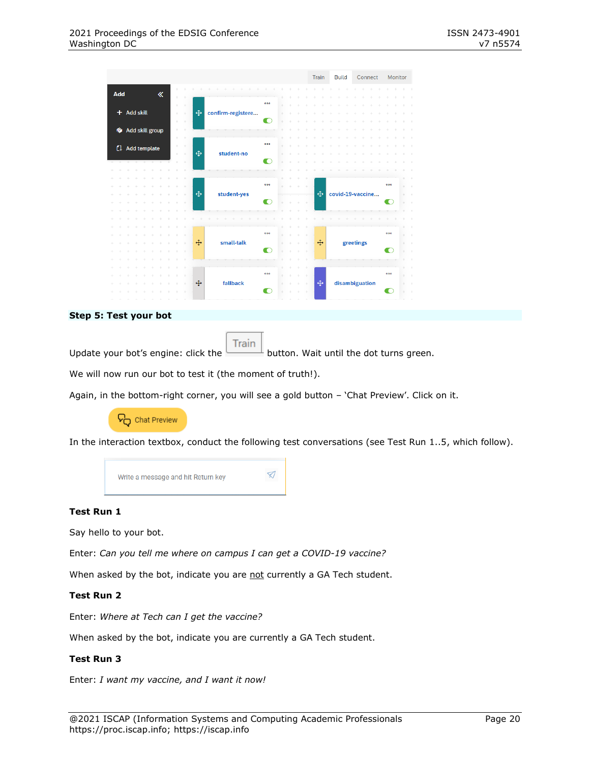|                                                          |                               | <b>Train</b>  | <b>Build</b> | Connect          | Monitor        |
|----------------------------------------------------------|-------------------------------|---------------|--------------|------------------|----------------|
| Add<br>$\ll$                                             |                               |               |              |                  |                |
| ÷<br>×                                                   | 000                           |               |              |                  |                |
| + Add skill<br>$\mathcal{A}_{\mathcal{F}}$<br>×,         | $\oplus$<br>confirm-registere |               |              |                  |                |
| ÷<br>A.                                                  | m                             |               |              |                  |                |
| <b><i>G</i></b> Add skill group                          |                               |               |              |                  |                |
| ÷                                                        |                               |               |              |                  |                |
| $\mathcal{A}_{\mathcal{F}}$<br><sup>4</sup> Add template | 000                           |               |              |                  |                |
| $\mathcal{A}_{\mathcal{M}}$<br>a.                        | $\oplus$<br>student-no        |               |              |                  |                |
|                                                          | n                             |               |              |                  |                |
|                                                          |                               |               |              |                  |                |
|                                                          | 000                           |               |              |                  | 000            |
| ×.                                                       | $\oplus$<br>student-yes       | $\oplus$      |              | covid-19-vaccine | ÷<br>÷         |
|                                                          | n                             |               |              |                  |                |
|                                                          |                               |               |              |                  |                |
|                                                          |                               |               |              |                  |                |
|                                                          |                               |               |              |                  |                |
|                                                          | 000                           | ٠             |              |                  | 000            |
|                                                          | $\oplus$<br>small-talk        | $\oplus$<br>÷ |              | greetings        | $\lambda$<br>÷ |
|                                                          | ∩                             | ÷             |              |                  |                |
|                                                          |                               |               |              |                  |                |
|                                                          | 000                           |               |              |                  | 000            |
|                                                          | $\oplus$<br>fallback          | $\oplus$      |              | disambiguation   |                |
|                                                          | г                             |               |              |                  |                |
|                                                          |                               |               |              |                  |                |

#### **Step 5: Test your bot**

**Train** Update your bot's engine: click the  $b$  button. Wait until the dot turns green.

We will now run our bot to test it (the moment of truth!).

Again, in the bottom-right corner, you will see a gold button – 'Chat Preview'. Click on it.



In the interaction textbox, conduct the following test conversations (see Test Run 1..5, which follow).



#### **Test Run 1**

Say hello to your bot.

Enter: *Can you tell me where on campus I can get a COVID-19 vaccine?*

When asked by the bot, indicate you are not currently a GA Tech student.

#### **Test Run 2**

Enter: *Where at Tech can I get the vaccine?*

When asked by the bot, indicate you are currently a GA Tech student.

#### **Test Run 3**

Enter: *I want my vaccine, and I want it now!*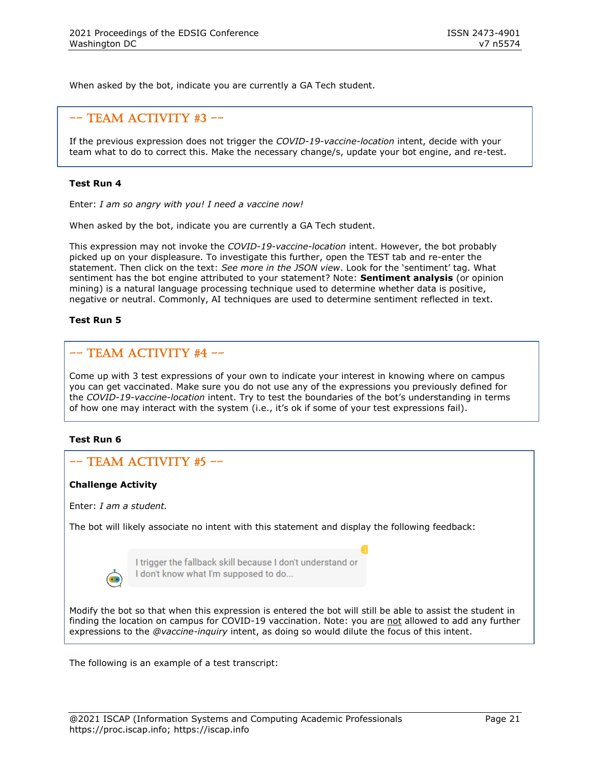When asked by the bot, indicate you are currently a GA Tech student.

# $--$  TEAM ACTIVITY #3  $--$

If the previous expression does not trigger the *COVID-19-vaccine-location* intent, decide with your team what to do to correct this. Make the necessary change/s, update your bot engine, and re-test.

#### **Test Run 4**

Enter: *I am so angry with you! I need a vaccine now!*

When asked by the bot, indicate you are currently a GA Tech student.

This expression may not invoke the *COVID-19-vaccine-location* intent. However, the bot probably picked up on your displeasure. To investigate this further, open the TEST tab and re-enter the statement. Then click on the text: *See more in the JSON view*. Look for the 'sentiment' tag. What sentiment has the bot engine attributed to your statement? Note: **Sentiment analysis** (or opinion mining) is a natural language processing technique used to determine whether data is positive, negative or neutral. Commonly, AI techniques are used to determine sentiment reflected in text.

#### **Test Run 5**

### $--$  TEAM ACTIVITY #4  $--$

Come up with 3 test expressions of your own to indicate your interest in knowing where on campus you can get vaccinated. Make sure you do not use any of the expressions you previously defined for the *COVID-19-vaccine-location* intent. Try to test the boundaries of the bot's understanding in terms of how one may interact with the system (i.e., it's ok if some of your test expressions fail).

#### **Test Run 6**

|  |  | $--$ TEAM ACTIVITY #5 $--$ |  |
|--|--|----------------------------|--|
|--|--|----------------------------|--|

#### **Challenge Activity**

Enter: *I am a student.*

The bot will likely associate no intent with this statement and display the following feedback:



I trigger the fallback skill because I don't understand or I don't know what I'm supposed to do...

Modify the bot so that when this expression is entered the bot will still be able to assist the student in finding the location on campus for COVID-19 vaccination. Note: you are not allowed to add any further expressions to the *@vaccine-inquiry* intent, as doing so would dilute the focus of this intent.

The following is an example of a test transcript: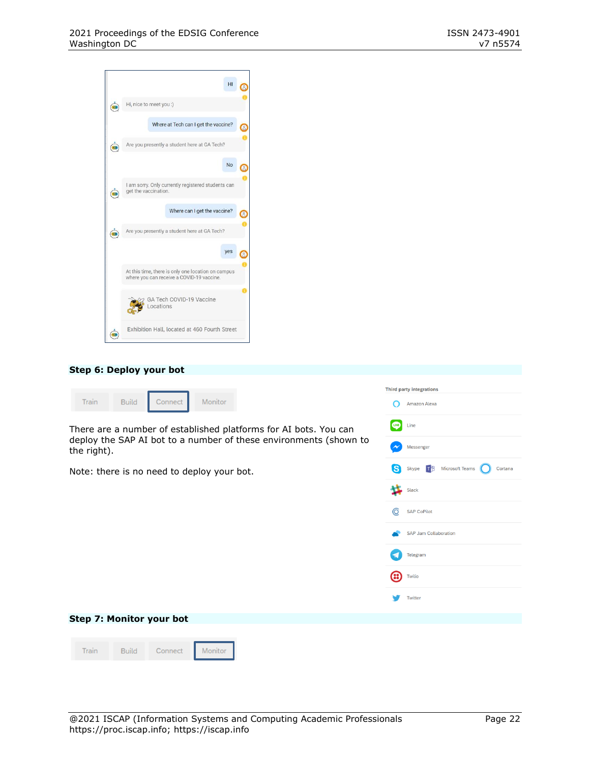|                         | HI                                                                                              |  |
|-------------------------|-------------------------------------------------------------------------------------------------|--|
| $\overline{\mathbf{u}}$ | Hi, nice to meet you :)                                                                         |  |
|                         | Where at Tech can I get the vaccine?                                                            |  |
|                         | Are you presently a student here at GA Tech?                                                    |  |
|                         | No                                                                                              |  |
|                         | I am sorry. Only currently registered students can<br>get the vaccination.                      |  |
|                         | Where can I get the vaccine?                                                                    |  |
|                         | Are you presently a student here at GA Tech?                                                    |  |
|                         | yes                                                                                             |  |
|                         | At this time, there is only one location on campus<br>where you can receive a COVID-19 vaccine. |  |
|                         | GA Tech COVID-19 Vaccine<br><b>cations</b>                                                      |  |
|                         | Exhibition Hall, located at 460 Fourth Street                                                   |  |

#### **Step 6: Deploy your bot**

|                                                                                  | <b>Third party integrations</b>                                                                                                   |
|----------------------------------------------------------------------------------|-----------------------------------------------------------------------------------------------------------------------------------|
| Train<br>Monitor<br><b>Build</b><br>Connect                                      | Amazon Alexa                                                                                                                      |
| There are a number of established platforms for AI bots. You can                 | Line<br>LINE                                                                                                                      |
| deploy the SAP AI bot to a number of these environments (shown to<br>the right). | Messenger                                                                                                                         |
| Note: there is no need to deploy your bot.                                       | Skype $\begin{array}{ccc} \hline \uparrow & \uparrow \\ \hline \uparrow & \downarrow \end{array}$ Microsoft Teams<br>S<br>Cortana |
|                                                                                  | 坅<br>Slack                                                                                                                        |
|                                                                                  | 6<br><b>SAP CoPilot</b>                                                                                                           |
|                                                                                  | <b>SAP Jam Collaboration</b>                                                                                                      |
|                                                                                  | Telegram                                                                                                                          |
|                                                                                  | ങ<br>Twilio                                                                                                                       |
|                                                                                  | Twitter                                                                                                                           |
| Step 7: Monitor your bot                                                         |                                                                                                                                   |
|                                                                                  |                                                                                                                                   |
| <b>Train</b><br>Monitor<br><b>Build</b><br>Connect                               |                                                                                                                                   |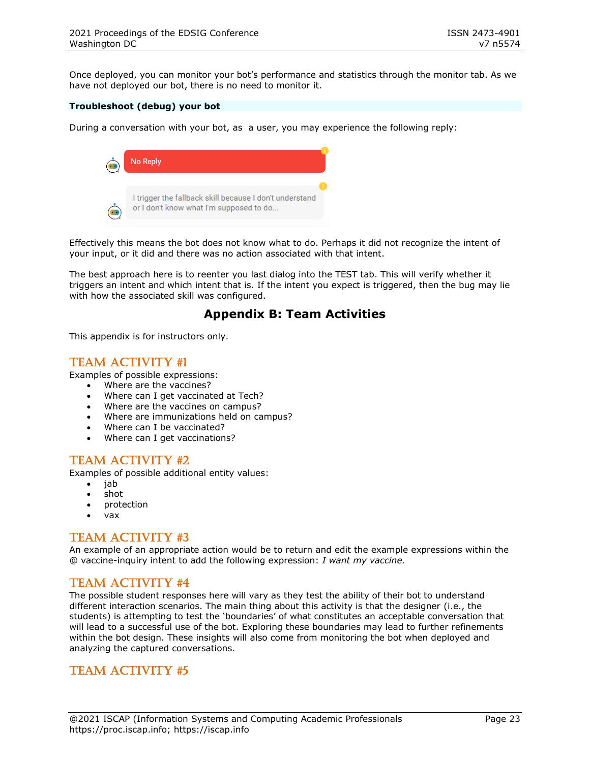Once deployed, you can monitor your bot's performance and statistics through the monitor tab. As we have not deployed our bot, there is no need to monitor it.

#### **Troubleshoot (debug) your bot**

During a conversation with your bot, as a user, you may experience the following reply:



Effectively this means the bot does not know what to do. Perhaps it did not recognize the intent of your input, or it did and there was no action associated with that intent.

The best approach here is to reenter you last dialog into the TEST tab. This will verify whether it triggers an intent and which intent that is. If the intent you expect is triggered, then the bug may lie with how the associated skill was configured.

# **Appendix B: Team Activities**

This appendix is for instructors only.

### Team Activity #1

Examples of possible expressions:

- Where are the vaccines?
- Where can I get vaccinated at Tech?
- Where are the vaccines on campus?
- Where are immunizations held on campus?
- Where can I be vaccinated?
- Where can I get vaccinations?

### Team Activity #2

Examples of possible additional entity values:

- jab
- shot
- protection
- vax

# Team Activity #3

An example of an appropriate action would be to return and edit the example expressions within the @ vaccine-inquiry intent to add the following expression: *I want my vaccine.*

# Team Activity #4

The possible student responses here will vary as they test the ability of their bot to understand different interaction scenarios. The main thing about this activity is that the designer (i.e., the students) is attempting to test the 'boundaries' of what constitutes an acceptable conversation that will lead to a successful use of the bot. Exploring these boundaries may lead to further refinements within the bot design. These insights will also come from monitoring the bot when deployed and analyzing the captured conversations.

# Team Activity #5